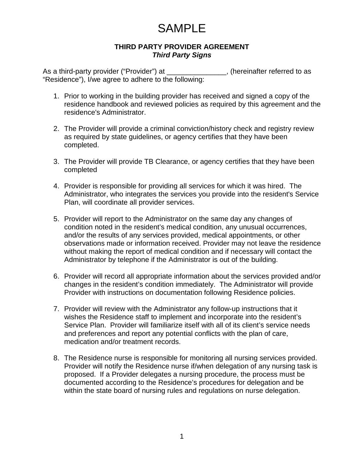#### **THIRD PARTY PROVIDER AGREEMENT** *Third Party Signs*

As a third-party provider ("Provider") at \_\_\_\_\_\_\_\_\_\_\_\_\_\_\_, (hereinafter referred to as "Residence"), I/we agree to adhere to the following:

- 1. Prior to working in the building provider has received and signed a copy of the residence handbook and reviewed policies as required by this agreement and the residence's Administrator.
- 2. The Provider will provide a criminal conviction/history check and registry review as required by state guidelines, or agency certifies that they have been completed.
- 3. The Provider will provide TB Clearance, or agency certifies that they have been completed
- 4. Provider is responsible for providing all services for which it was hired. The Administrator, who integrates the services you provide into the resident's Service Plan, will coordinate all provider services.
- 5. Provider will report to the Administrator on the same day any changes of condition noted in the resident's medical condition, any unusual occurrences, and/or the results of any services provided, medical appointments, or other observations made or information received. Provider may not leave the residence without making the report of medical condition and if necessary will contact the Administrator by telephone if the Administrator is out of the building.
- 6. Provider will record all appropriate information about the services provided and/or changes in the resident's condition immediately. The Administrator will provide Provider with instructions on documentation following Residence policies.
- 7. Provider will review with the Administrator any follow-up instructions that it wishes the Residence staff to implement and incorporate into the resident's Service Plan. Provider will familiarize itself with all of its client's service needs and preferences and report any potential conflicts with the plan of care, medication and/or treatment records.
- 8. The Residence nurse is responsible for monitoring all nursing services provided. Provider will notify the Residence nurse if/when delegation of any nursing task is proposed. If a Provider delegates a nursing procedure, the process must be documented according to the Residence's procedures for delegation and be within the state board of nursing rules and regulations on nurse delegation.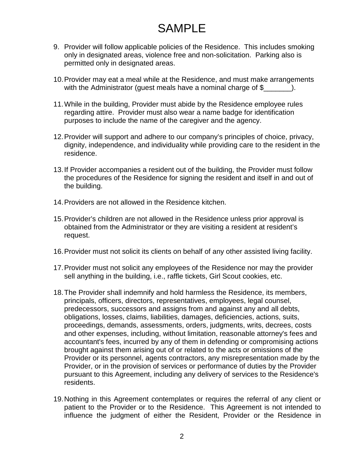- 9. Provider will follow applicable policies of the Residence. This includes smoking only in designated areas, violence free and non-solicitation. Parking also is permitted only in designated areas.
- 10.Provider may eat a meal while at the Residence, and must make arrangements with the Administrator (guest meals have a nominal charge of  $\frac{1}{2}$   $\qquad$  ).
- 11.While in the building, Provider must abide by the Residence employee rules regarding attire. Provider must also wear a name badge for identification purposes to include the name of the caregiver and the agency.
- 12.Provider will support and adhere to our company's principles of choice, privacy, dignity, independence, and individuality while providing care to the resident in the residence.
- 13.If Provider accompanies a resident out of the building, the Provider must follow the procedures of the Residence for signing the resident and itself in and out of the building.
- 14.Providers are not allowed in the Residence kitchen.
- 15.Provider's children are not allowed in the Residence unless prior approval is obtained from the Administrator or they are visiting a resident at resident's request.
- 16.Provider must not solicit its clients on behalf of any other assisted living facility.
- 17.Provider must not solicit any employees of the Residence nor may the provider sell anything in the building, i.e., raffle tickets, Girl Scout cookies, etc.
- 18.The Provider shall indemnify and hold harmless the Residence, its members, principals, officers, directors, representatives, employees, legal counsel, predecessors, successors and assigns from and against any and all debts, obligations, losses, claims, liabilities, damages, deficiencies, actions, suits, proceedings, demands, assessments, orders, judgments, writs, decrees, costs and other expenses, including, without limitation, reasonable attorney's fees and accountant's fees, incurred by any of them in defending or compromising actions brought against them arising out of or related to the acts or omissions of the Provider or its personnel, agents contractors, any misrepresentation made by the Provider, or in the provision of services or performance of duties by the Provider pursuant to this Agreement, including any delivery of services to the Residence's residents.
- 19.Nothing in this Agreement contemplates or requires the referral of any client or patient to the Provider or to the Residence. This Agreement is not intended to influence the judgment of either the Resident, Provider or the Residence in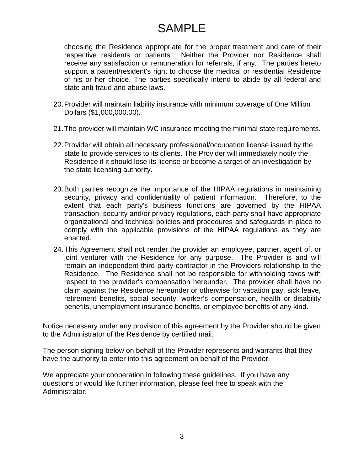choosing the Residence appropriate for the proper treatment and care of their respective residents or patients. Neither the Provider nor Residence shall receive any satisfaction or remuneration for referrals, if any. The parties hereto support a patient/resident's right to choose the medical or residential Residence of his or her choice. The parties specifically intend to abide by all federal and state anti-fraud and abuse laws.

- 20.Provider will maintain liability insurance with minimum coverage of One Million Dollars (\$1,000,000.00).
- 21.The provider will maintain WC insurance meeting the minimal state requirements.
- 22.Provider will obtain all necessary professional/occupation license issued by the state to provide services to its clients. The Provider will immediately notify the Residence if it should lose its license or become a target of an investigation by the state licensing authority.
- 23.Both parties recognize the importance of the HIPAA regulations in maintaining security, privacy and confidentiality of patient information. Therefore, to the extent that each party's business functions are governed by the HIPAA transaction, security and/or privacy regulations, each party shall have appropriate organizational and technical policies and procedures and safeguards in place to comply with the applicable provisions of the HIPAA regulations as they are enacted.
- 24.This Agreement shall not render the provider an employee, partner, agent of, or joint venturer with the Residence for any purpose. The Provider is and will remain an independent third party contractor in the Providers relationship to the Residence. The Residence shall not be responsible for withholding taxes with respect to the provider's compensation hereunder. The provider shall have no claim against the Residence hereunder or otherwise for vacation pay, sick leave, retirement benefits, social security, worker's compensation, health or disability benefits, unemployment insurance benefits, or employee benefits of any kind.

Notice necessary under any provision of this agreement by the Provider should be given to the Administrator of the Residence by certified mail.

The person signing below on behalf of the Provider represents and warrants that they have the authority to enter into this agreement on behalf of the Provider.

We appreciate your cooperation in following these guidelines. If you have any questions or would like further information, please feel free to speak with the Administrator.